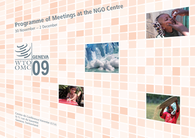



Centre de Conférence Varembé (CCV)





30 November − 2 December

**Programme of Meetings at the NGO Centre**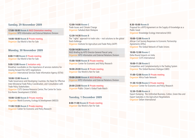# **Sunday, 29 November 2009**

**17:00-18:00 Room A** NGO Orientation meeting Organizer WTO Information and External Relations Division

**14:00-18:00 Room B** Private meeting Organizer Our World Is Not For Sale

## **Monday, 30 November 2009**

**8:00-11:00 Room E** Private meeting Organizer Our World Is Not For Sale

**9:00-12:00 Room C** Invitation only: Breakfast roundtable on the importance of services statistics for moving forward the GATS negotiations Organizer International Services Trade Information Agency (ISTIA)

**10:00-12:00 Room A** Trade Governance and Developing Countries: the Need for Effective Inter-Ministerial Trade Policy Coordination, and Consultation with Trade Policy Stakeholders Organizer CUTS Geneva Resource Centre; The Centre for Socio-Eco-Nomic Development (CSEND)

**10:00-12:00 Room D** Private meeting Organizer World Economy, Ecology & Development (WEED)

**11:00-13:00 Room E** Private meeting Organizer Center for Economic and Policy Research **12:00-14:00 Room C** Trade Issues and Climate Change Organizer Sahabat Alam Malaysia

**12:30-14:30 Room B** The "rights" approach to trade rules – real solutions to the global food challenge Organizer Institute for Agriculture and Trade Policy (IATP)

**13:30-14:30 Room A** NGO Briefing by WTO Director-General Pascal Lamy Organizer WTO Information and External Relations Division

**15:00-18:00 Room B** Private meeting Organizer Center for Economic and Policy Research

**18:00-20:00 Room B** Private meeting Organizer Our World Is Not For Sale

**19:00-20:00 Room A NGO Briefing** Organizer WTO Information and External Relations Division

**20:00-23:00 Room B** Private meeting Organizer Public Citizen's Global Trade Watch

# **Tuesday, 1 December 2009**

**8:00-11:00 Room D** Private meeting Organizer Our World Is Not For Sale

**8:30-10:00 Room B** Proposal for a WTO Agreement on the Supply of Knowledge as a Public Good Organizer Knowledge Ecology International (KEI)

**10:00-12:00 Room B**  African Civil Society Responses to Economic Partnership Agreements (EPAs) Organizer The Global Network of Trade Unions

**10:00-12:00 Room C** Doha Round Impacts on India Organizer CUTS International

**10:00-11:30 Room E** Competition and Complementarity in the Trading System Organizer The Global Business Dialogue (GBD)

**11:00-12:00 Room D** Private meeting Organizer Africa Trade Network

**11:30-13:30 Room E** Private meeting Organizer Center for Economic and Policy Research

**12:30-15:00 Room A**  Export Dumping: The Unfinished Business, Cotton, Green Box and Export Subsidies in the Agriculture Negotiations Organizer Oxfam International